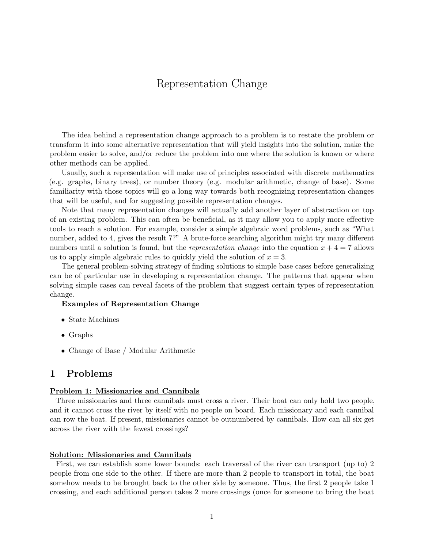# Representation Change

The idea behind a representation change approach to a problem is to restate the problem or transform it into some alternative representation that will yield insights into the solution, make the problem easier to solve, and/or reduce the problem into one where the solution is known or where other methods can be applied.

Usually, such a representation will make use of principles associated with discrete mathematics (e.g. graphs, binary trees), or number theory (e.g. modular arithmetic, change of base). Some familiarity with those topics will go a long way towards both recognizing representation changes that will be useful, and for suggesting possible representation changes.

Note that many representation changes will actually add another layer of abstraction on top of an existing problem. This can often be beneficial, as it may allow you to apply more effective tools to reach a solution. For example, consider a simple algebraic word problems, such as "What number, added to 4, gives the result 7?" A brute-force searching algorithm might try many different numbers until a solution is found, but the *representation change* into the equation  $x + 4 = 7$  allows us to apply simple algebraic rules to quickly yield the solution of  $x = 3$ .

The general problem-solving strategy of finding solutions to simple base cases before generalizing can be of particular use in developing a representation change. The patterns that appear when solving simple cases can reveal facets of the problem that suggest certain types of representation change.

#### Examples of Representation Change

- State Machines
- Graphs
- Change of Base / Modular Arithmetic

# 1 Problems

#### Problem 1: Missionaries and Cannibals

Three missionaries and three cannibals must cross a river. Their boat can only hold two people, and it cannot cross the river by itself with no people on board. Each missionary and each cannibal can row the boat. If present, missionaries cannot be outnumbered by cannibals. How can all six get across the river with the fewest crossings?

#### Solution: Missionaries and Cannibals

First, we can establish some lower bounds: each traversal of the river can transport (up to) 2 people from one side to the other. If there are more than 2 people to transport in total, the boat somehow needs to be brought back to the other side by someone. Thus, the first 2 people take 1 crossing, and each additional person takes 2 more crossings (once for someone to bring the boat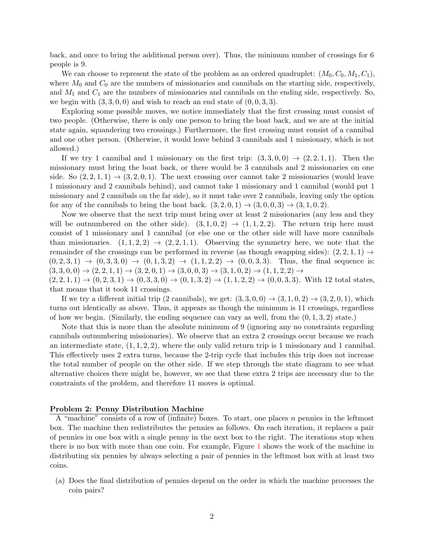back, and once to bring the additional person over). Thus, the minimum number of crossings for 6 people is 9.

We can choose to represent the state of the problem as an ordered quadruplet:  $(M_0, C_0, M_1, C_1)$ , where  $M_0$  and  $C_0$  are the numbers of missionaries and cannibals on the starting side, respectively, and  $M_1$  and  $C_1$  are the numbers of missionaries and cannibals on the ending side, respectively. So, we begin with  $(3, 3, 0, 0)$  and wish to reach an end state of  $(0, 0, 3, 3)$ .

Exploring some possible moves, we notice immediately that the first crossing must consist of two people. (Otherwise, there is only one person to bring the boat back, and we are at the initial state again, squandering two crossings.) Furthermore, the first crossing must consist of a cannibal and one other person. (Otherwise, it would leave behind 3 cannibals and 1 missionary, which is not allowed.)

If we try 1 cannibal and 1 missionary on the first trip:  $(3,3,0,0) \rightarrow (2,2,1,1)$ . Then the missionary must bring the boat back, or there would be 3 cannibals and 2 missionaries on one side. So  $(2, 2, 1, 1) \rightarrow (3, 2, 0, 1)$ . The next crossing over cannot take 2 missionaries (would leave 1 missionary and 2 cannibals behind), and cannot take 1 missionary and 1 cannibal (would put 1 missionary and 2 cannibals on the far side), so it must take over 2 cannibals, leaving only the option for any of the cannibals to bring the boat back.  $(3, 2, 0, 1) \rightarrow (3, 0, 0, 3) \rightarrow (3, 1, 0, 2)$ .

Now we observe that the next trip must bring over at least 2 missionaries (any less and they will be outnumbered on the other side).  $(3, 1, 0, 2) \rightarrow (1, 1, 2, 2)$ . The return trip here must consist of 1 missionary and 1 cannibal (or else one or the other side will have more cannibals than missionaries.  $(1, 1, 2, 2) \rightarrow (2, 2, 1, 1)$ . Observing the symmetry here, we note that the remainder of the crossings can be performed in reverse (as though swapping sides):  $(2, 2, 1, 1) \rightarrow$  $(0, 2, 3, 1) \rightarrow (0, 3, 3, 0) \rightarrow (0, 1, 3, 2) \rightarrow (1, 1, 2, 2) \rightarrow (0, 0, 3, 3).$  Thus, the final sequence is:  $(3, 3, 0, 0) \rightarrow (2, 2, 1, 1) \rightarrow (3, 2, 0, 1) \rightarrow (3, 0, 0, 3) \rightarrow (3, 1, 0, 2) \rightarrow (1, 1, 2, 2) \rightarrow$ 

 $(2, 2, 1, 1) \rightarrow (0, 2, 3, 1) \rightarrow (0, 3, 3, 0) \rightarrow (0, 1, 3, 2) \rightarrow (1, 1, 2, 2) \rightarrow (0, 0, 3, 3)$ . With 12 total states, that means that it took 11 crossings.

If we try a different initial trip (2 cannibals), we get:  $(3,3,0,0) \rightarrow (3,1,0,2) \rightarrow (3,2,0,1)$ , which turns out identically as above. Thus, it appears as though the minimum is 11 crossings, regardless of how we begin. (Similarly, the ending sequence can vary as well, from the  $(0, 1, 3, 2)$  state.)

Note that this is more than the absolute minimum of 9 (ignoring any no constraints regarding cannibals outnumbering missionaries). We observe that an extra 2 crossings occur because we reach an intermediate state,  $(1, 1, 2, 2)$ , where the only valid return trip is 1 missionary and 1 cannibal. This effectively uses 2 extra turns, because the 2-trip cycle that includes this trip does not increase the total number of people on the other side. If we step through the state diagram to see what alternative choices there might be, however, we see that these extra 2 trips are necessary due to the constraints of the problem, and therefore 11 moves is optimal.

#### Problem 2: Penny Distribution Machine

A "machine" consists of a row of (infinite) boxes. To start, one places n pennies in the leftmost box. The machine then redistributes the pennies as follows. On each iteration, it replaces a pair of pennies in one box with a single penny in the next box to the right. The iterations stop when there is no box with more than one coin. For example, Figure [1](#page-2-0) shows the work of the machine in distributing six pennies by always selecting a pair of pennies in the leftmost box with at least two coins.

(a) Does the final distribution of pennies depend on the order in which the machine processes the coin pairs?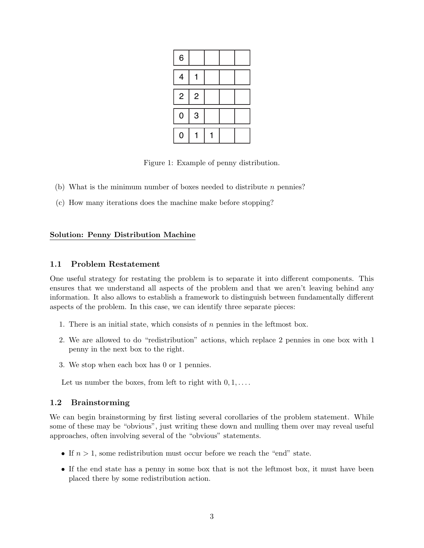<span id="page-2-0"></span>

| 6              |                |  |  |
|----------------|----------------|--|--|
| 4              |                |  |  |
| $\overline{c}$ | $\overline{c}$ |  |  |
| $\mathbf 0$    | 3              |  |  |
| 0              |                |  |  |

Figure 1: Example of penny distribution.

- (b) What is the minimum number of boxes needed to distribute  $n$  pennies?
- (c) How many iterations does the machine make before stopping?

### Solution: Penny Distribution Machine

### 1.1 Problem Restatement

One useful strategy for restating the problem is to separate it into different components. This ensures that we understand all aspects of the problem and that we aren't leaving behind any information. It also allows to establish a framework to distinguish between fundamentally different aspects of the problem. In this case, we can identify three separate pieces:

- 1. There is an initial state, which consists of  $n$  pennies in the leftmost box.
- 2. We are allowed to do "redistribution" actions, which replace 2 pennies in one box with 1 penny in the next box to the right.
- 3. We stop when each box has 0 or 1 pennies.

Let us number the boxes, from left to right with  $0, 1, \ldots$ .

## 1.2 Brainstorming

We can begin brainstorming by first listing several corollaries of the problem statement. While some of these may be "obvious", just writing these down and mulling them over may reveal useful approaches, often involving several of the "obvious" statements.

- If  $n > 1$ , some redistribution must occur before we reach the "end" state.
- If the end state has a penny in some box that is not the leftmost box, it must have been placed there by some redistribution action.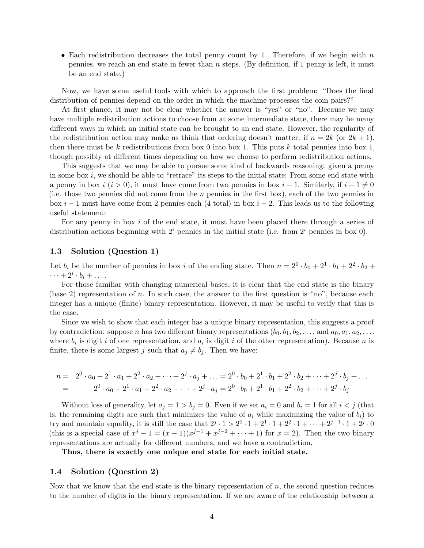• Each redistribution decreases the total penny count by 1. Therefore, if we begin with  $n$ pennies, we reach an end state in fewer than  $n$  steps. (By definition, if 1 penny is left, it must be an end state.)

Now, we have some useful tools with which to approach the first problem: "Does the final distribution of pennies depend on the order in which the machine processes the coin pairs?"

At first glance, it may not be clear whether the answer is "yes" or "no". Because we may have multiple redistribution actions to choose from at some intermediate state, there may be many different ways in which an initial state can be brought to an end state. However, the regularity of the redistribution action may make us think that ordering doesn't matter: if  $n = 2k$  (or  $2k + 1$ ), then there must be k redistributions from box 0 into box 1. This puts k total pennies into box 1, though possibly at different times depending on how we choose to perform redistribution actions.

This suggests that we may be able to pursue some kind of backwards reasoning: given a penny in some box  $i$ , we should be able to "retrace" its steps to the initial state: From some end state with a penny in box  $i$  ( $i > 0$ ), it must have come from two pennies in box  $i - 1$ . Similarly, if  $i - 1 \neq 0$ (i.e. those two pennies did not come from the  $n$  pennies in the first box), each of the two pennies in box  $i-1$  must have come from 2 pennies each (4 total) in box  $i-2$ . This leads us to the following useful statement:

For any penny in box i of the end state, it must have been placed there through a series of distribution actions beginning with  $2<sup>i</sup>$  pennies in the initial state (i.e. from  $2<sup>i</sup>$  pennies in box 0).

#### 1.3 Solution (Question 1)

Let  $b_i$  be the number of pennies in box *i* of the ending state. Then  $n = 2^0 \cdot b_0 + 2^1 \cdot b_1 + 2^2 \cdot b_2 +$  $\cdots + 2^i \cdot b_i + \ldots$ 

For those familiar with changing numerical bases, it is clear that the end state is the binary (base 2) representation of n. In such case, the answer to the first question is "no", because each integer has a unique (finite) binary representation. However, it may be useful to verify that this is the case.

Since we wish to show that each integer has a unique binary representation, this suggests a proof by contradiction: suppose n has two different binary representations  $(b_0, b_1, b_2, \ldots,$  and  $a_0, a_1, a_2, \ldots,$ where  $b_i$  is digit i of one representation, and  $a_i$  is digit i of the other representation). Because n is finite, there is some largest j such that  $a_j \neq b_j$ . Then we have:

$$
n = 20 \cdot a_0 + 21 \cdot a_1 + 22 \cdot a_2 + \dots + 2j \cdot a_j + \dots = 20 \cdot b_0 + 21 \cdot b_1 + 22 \cdot b_2 + \dots + 2j \cdot b_j + \dots
$$
  
= 2<sup>0</sup> \cdot a\_0 + 2<sup>1</sup> \cdot a\_1 + 2<sup>2</sup> \cdot a\_2 + \dots + 2<sup>j</sup> \cdot a\_j = 2<sup>0</sup> \cdot b\_0 + 2<sup>1</sup> \cdot b\_1 + 2<sup>2</sup> \cdot b\_2 + \dots + 2<sup>j</sup> \cdot b\_j

Without loss of generality, let  $a_j = 1 > b_j = 0$ . Even if we set  $a_i = 0$  and  $b_i = 1$  for all  $i < j$  (that is, the remaining digits are such that minimizes the value of  $a_i$  while maximizing the value of  $b_i$ ) to try and maintain equality, it is still the case that  $2^j \cdot 1 > 2^0 \cdot 1 + 2^1 \cdot 1 + 2^2 \cdot 1 + \cdots + 2^{j-1} \cdot 1 + 2^j \cdot 0$ (this is a special case of  $x^j - 1 = (x - 1)(x^{j-1} + x^{j-2} + \cdots + 1)$  for  $x = 2$ ). Then the two binary representations are actually for different numbers, and we have a contradiction.

Thus, there is exactly one unique end state for each initial state.

#### 1.4 Solution (Question 2)

Now that we know that the end state is the binary representation of  $n$ , the second question reduces to the number of digits in the binary representation. If we are aware of the relationship between a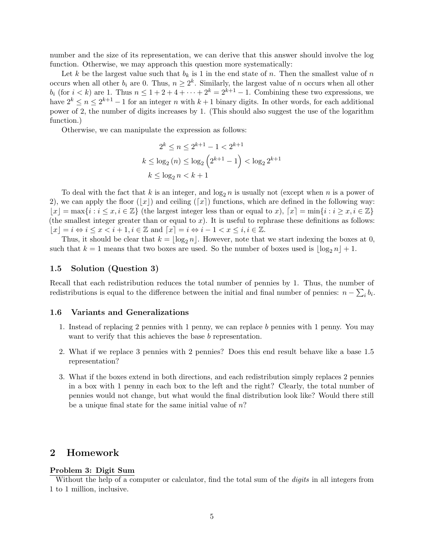number and the size of its representation, we can derive that this answer should involve the log function. Otherwise, we may approach this question more systematically:

Let k be the largest value such that  $b_k$  is 1 in the end state of n. Then the smallest value of n occurs when all other  $b_i$  are 0. Thus,  $n \geq 2^k$ . Similarly, the largest value of n occurs when all other  $b_i$  (for  $i < k$ ) are 1. Thus  $n \leq 1 + 2 + 4 + \cdots + 2^k = 2^{k+1} - 1$ . Combining these two expressions, we have  $2^k \leq n \leq 2^{k+1} - 1$  for an integer n with  $k+1$  binary digits. In other words, for each additional power of 2, the number of digits increases by 1. (This should also suggest the use of the logarithm function.)

Otherwise, we can manipulate the expression as follows:

$$
2^{k} \le n \le 2^{k+1} - 1 < 2^{k+1}
$$
\n
$$
k \le \log_2(n) \le \log_2\left(2^{k+1} - 1\right) < \log_2 2^{k+1}
$$
\n
$$
k \le \log_2 n < k+1
$$

To deal with the fact that k is an integer, and  $\log_2 n$  is usually not (except when n is a power of 2), we can apply the floor  $(|x|)$  and ceiling  $([x])$  functions, which are defined in the following way:  $|x| = \max\{i : i \leq x, i \in \mathbb{Z}\}\$  (the largest integer less than or equal to x),  $[x] = \min\{i : i \geq x, i \in \mathbb{Z}\}\$ (the smallest integer greater than or equal to  $x$ ). It is useful to rephrase these definitions as follows:  $|x| = i \Leftrightarrow i \leq x < i + 1, i \in \mathbb{Z}$  and  $[x] = i \Leftrightarrow i - 1 < x \leq i, i \in \mathbb{Z}$ .

Thus, it should be clear that  $k = \lfloor \log_2 n \rfloor$ . However, note that we start indexing the boxes at 0, such that  $k = 1$  means that two boxes are used. So the number of boxes used is  $\log_2 n + 1$ .

#### 1.5 Solution (Question 3)

Recall that each redistribution reduces the total number of pennies by 1. Thus, the number of redistributions is equal to the difference between the initial and final number of pennies:  $n - \sum_i b_i$ .

#### 1.6 Variants and Generalizations

- 1. Instead of replacing 2 pennies with 1 penny, we can replace b pennies with 1 penny. You may want to verify that this achieves the base b representation.
- 2. What if we replace 3 pennies with 2 pennies? Does this end result behave like a base 1.5 representation?
- 3. What if the boxes extend in both directions, and each redistribution simply replaces 2 pennies in a box with 1 penny in each box to the left and the right? Clearly, the total number of pennies would not change, but what would the final distribution look like? Would there still be a unique final state for the same initial value of  $n$ ?

# 2 Homework

#### Problem 3: Digit Sum

Without the help of a computer or calculator, find the total sum of the *digits* in all integers from 1 to 1 million, inclusive.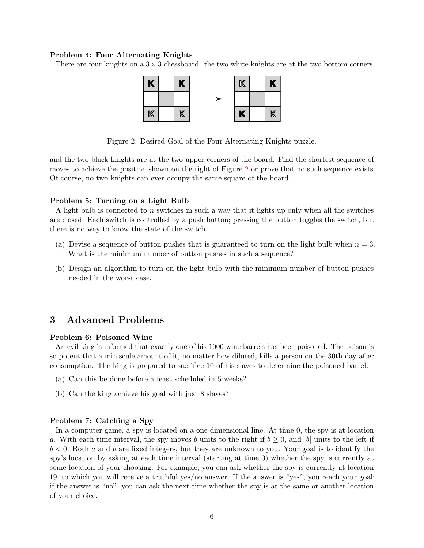#### Problem 4: Four Alternating Knights

<span id="page-5-0"></span>There are four knights on a  $3 \times 3$  chessboard: the two white knights are at the two bottom corners,



Figure 2: Desired Goal of the Four Alternating Knights puzzle.

and the two black knights are at the two upper corners of the board. Find the shortest sequence of moves to achieve the position shown on the right of Figure [2](#page-5-0) or prove that no such sequence exists. Of course, no two knights can ever occupy the same square of the board.

#### Problem 5: Turning on a Light Bulb

A light bulb is connected to n switches in such a way that it lights up only when all the switches are closed. Each switch is controlled by a push button; pressing the button toggles the switch, but there is no way to know the state of the switch.

- (a) Devise a sequence of button pushes that is guaranteed to turn on the light bulb when  $n = 3$ . What is the minimum number of button pushes in such a sequence?
- (b) Design an algorithm to turn on the light bulb with the minimum number of button pushes needed in the worst case.

# 3 Advanced Problems

#### Problem 6: Poisoned Wine

An evil king is informed that exactly one of his 1000 wine barrels has been poisoned. The poison is so potent that a miniscule amount of it, no matter how diluted, kills a person on the 30th day after consumption. The king is prepared to sacrifice 10 of his slaves to determine the poisoned barrel.

- (a) Can this be done before a feast scheduled in 5 weeks?
- (b) Can the king achieve his goal with just 8 slaves?

#### Problem 7: Catching a Spy

In a computer game, a spy is located on a one-dimensional line. At time 0, the spy is at location a. With each time interval, the spy moves b units to the right if  $b \geq 0$ , and |b| units to the left if  $b < 0$ . Both a and b are fixed integers, but they are unknown to you. Your goal is to identify the spy's location by asking at each time interval (starting at time 0) whether the spy is currently at some location of your choosing. For example, you can ask whether the spy is currently at location 19, to which you will receive a truthful yes/no answer. If the answer is "yes", you reach your goal; if the answer is "no", you can ask the next time whether the spy is at the same or another location of your choice.